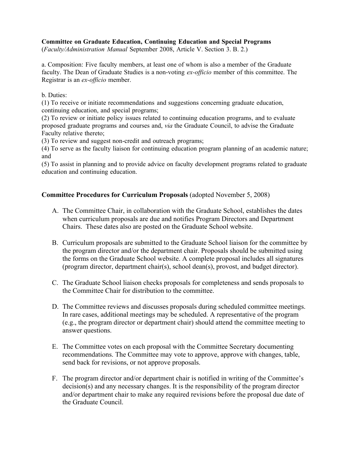### Committee on Graduate Education, Continuing Education and Special Programs

(*Faculty/Administration Manual* September 2008, Article V. Section 3. B. 2.)

a. Composition: Five faculty members, at least one of whom is also a member of the Graduate faculty. The Dean of Graduate Studies is a non-voting *ex-officio* member of this committee. The Registrar is an *ex-officio* member.

#### b. Duties:

(1) To receive or initiate recommendations and suggestions concerning graduate education, continuing education, and special programs;

(2) To review or initiate policy issues related to continuing education programs, and to evaluate proposed graduate programs and courses and, *via* the Graduate Council, to advise the Graduate Faculty relative thereto;

(3) To review and suggest non-credit and outreach programs;

(4) To serve as the faculty liaison for continuing education program planning of an academic nature; and

(5) To assist in planning and to provide advice on faculty development programs related to graduate education and continuing education.

### Committee Procedures for Curriculum Proposals (adopted November 5, 2008)

- A. The Committee Chair, in collaboration with the Graduate School, establishes the dates when curriculum proposals are due and notifies Program Directors and Department Chairs. These dates also are posted on the Graduate School website.
- B. Curriculum proposals are submitted to the Graduate School liaison for the committee by the program director and/or the department chair. Proposals should be submitted using the forms on the Graduate School website. A complete proposal includes all signatures (program director, department chair(s), school dean(s), provost, and budget director).
- C. The Graduate School liaison checks proposals for completeness and sends proposals to the Committee Chair for distribution to the committee.
- D. The Committee reviews and discusses proposals during scheduled committee meetings. In rare cases, additional meetings may be scheduled. A representative of the program (e.g., the program director or department chair) should attend the committee meeting to answer questions.
- E. The Committee votes on each proposal with the Committee Secretary documenting recommendations. The Committee may vote to approve, approve with changes, table, send back for revisions, or not approve proposals.
- F. The program director and/or department chair is notified in writing of the Committee's decision(s) and any necessary changes. It is the responsibility of the program director and/or department chair to make any required revisions before the proposal due date of the Graduate Council.